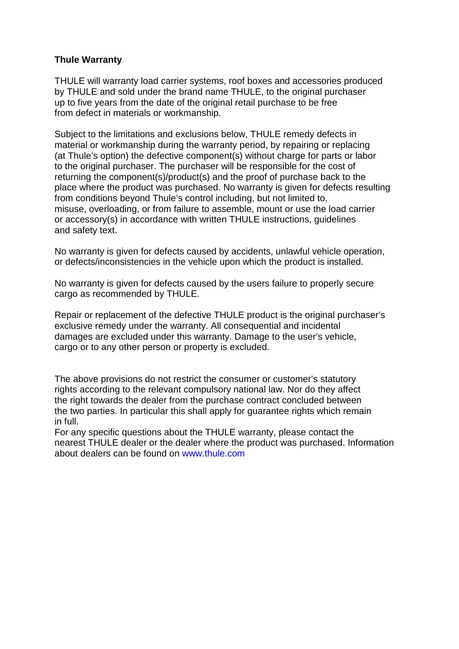## **Thule Warranty**

THULE will warranty load carrier systems, roof boxes and accessories produced by THULE and sold under the brand name THULE, to the original purchaser up to five years from the date of the original retail purchase to be free from defect in materials or workmanship.

Subject to the limitations and exclusions below, THULE remedy defects in material or workmanship during the warranty period, by repairing or replacing (at Thule's option) the defective component(s) without charge for parts or labor to the original purchaser. The purchaser will be responsible for the cost of returning the component(s)/product(s) and the proof of purchase back to the place where the product was purchased. No warranty is given for defects resulting from conditions beyond Thule's control including, but not limited to, misuse, overloading, or from failure to assemble, mount or use the load carrier or accessory(s) in accordance with written THULE instructions, guidelines and safety text.

No warranty is given for defects caused by accidents, unlawful vehicle operation, or defects/inconsistencies in the vehicle upon which the product is installed.

No warranty is given for defects caused by the users failure to properly secure cargo as recommended by THULE.

Repair or replacement of the defective THULE product is the original purchaser's exclusive remedy under the warranty. All consequential and incidental damages are excluded under this warranty. Damage to the user's vehicle, cargo or to any other person or property is excluded.

The above provisions do not restrict the consumer or customer's statutory rights according to the relevant compulsory national law. Nor do they affect the right towards the dealer from the purchase contract concluded between the two parties. In particular this shall apply for guarantee rights which remain in full.

For any specific questions about the THULE warranty, please contact the nearest THULE dealer or the dealer where the product was purchased. Information about dealers can be found on www.thule.com